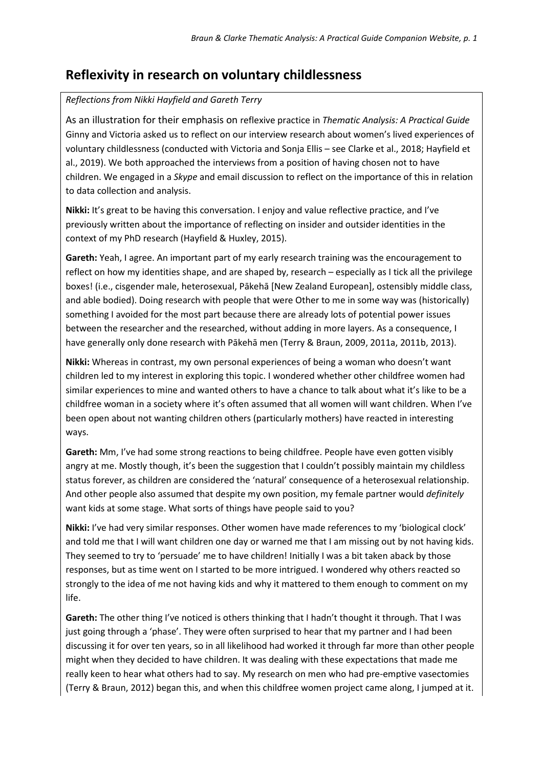## **Reflexivity in research on voluntary childlessness**

## *Reflections from Nikki Hayfield and Gareth Terry*

As an illustration for their emphasis on reflexive practice in *Thematic Analysis: A Practical Guide*  Ginny and Victoria asked us to reflect on our interview research about women's lived experiences of voluntary childlessness (conducted with Victoria and Sonja Ellis – see Clarke et al., 2018; Hayfield et al., 2019). We both approached the interviews from a position of having chosen not to have children. We engaged in a *Skype* and email discussion to reflect on the importance of this in relation to data collection and analysis.

**Nikki:** It's great to be having this conversation. I enjoy and value reflective practice, and I've previously written about the importance of reflecting on insider and outsider identities in the context of my PhD research (Hayfield & Huxley, 2015).

**Gareth:** Yeah, I agree. An important part of my early research training was the encouragement to reflect on how my identities shape, and are shaped by, research – especially as I tick all the privilege boxes! (i.e., cisgender male, heterosexual, Pākehā [New Zealand European], ostensibly middle class, and able bodied). Doing research with people that were Other to me in some way was (historically) something I avoided for the most part because there are already lots of potential power issues between the researcher and the researched, without adding in more layers. As a consequence, I have generally only done research with Pākehā men (Terry & Braun, 2009, 2011a, 2011b, 2013).

**Nikki:** Whereas in contrast, my own personal experiences of being a woman who doesn't want children led to my interest in exploring this topic. I wondered whether other childfree women had similar experiences to mine and wanted others to have a chance to talk about what it's like to be a childfree woman in a society where it's often assumed that all women will want children. When I've been open about not wanting children others (particularly mothers) have reacted in interesting ways.

**Gareth:** Mm, I've had some strong reactions to being childfree. People have even gotten visibly angry at me. Mostly though, it's been the suggestion that I couldn't possibly maintain my childless status forever, as children are considered the 'natural' consequence of a heterosexual relationship. And other people also assumed that despite my own position, my female partner would *definitely* want kids at some stage. What sorts of things have people said to you?

**Nikki:** I've had very similar responses. Other women have made references to my 'biological clock' and told me that I will want children one day or warned me that I am missing out by not having kids. They seemed to try to 'persuade' me to have children! Initially I was a bit taken aback by those responses, but as time went on I started to be more intrigued. I wondered why others reacted so strongly to the idea of me not having kids and why it mattered to them enough to comment on my life.

**Gareth:** The other thing I've noticed is others thinking that I hadn't thought it through. That I was just going through a 'phase'. They were often surprised to hear that my partner and I had been discussing it for over ten years, so in all likelihood had worked it through far more than other people might when they decided to have children. It was dealing with these expectations that made me really keen to hear what others had to say. My research on men who had pre-emptive vasectomies (Terry & Braun, 2012) began this, and when this childfree women project came along, I jumped at it.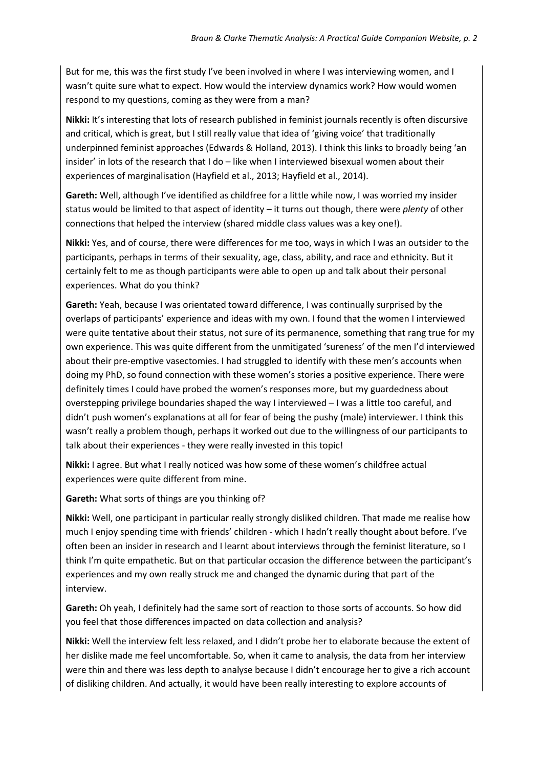But for me, this was the first study I've been involved in where I was interviewing women, and I wasn't quite sure what to expect. How would the interview dynamics work? How would women respond to my questions, coming as they were from a man?

**Nikki:** It's interesting that lots of research published in feminist journals recently is often discursive and critical, which is great, but I still really value that idea of 'giving voice' that traditionally underpinned feminist approaches (Edwards & Holland, 2013). I think this links to broadly being 'an insider' in lots of the research that I do – like when I interviewed bisexual women about their experiences of marginalisation (Hayfield et al., 2013; Hayfield et al., 2014).

**Gareth:** Well, although I've identified as childfree for a little while now, I was worried my insider status would be limited to that aspect of identity – it turns out though, there were *plenty* of other connections that helped the interview (shared middle class values was a key one!).

**Nikki:** Yes, and of course, there were differences for me too, ways in which I was an outsider to the participants, perhaps in terms of their sexuality, age, class, ability, and race and ethnicity. But it certainly felt to me as though participants were able to open up and talk about their personal experiences. What do you think?

**Gareth:** Yeah, because I was orientated toward difference, I was continually surprised by the overlaps of participants' experience and ideas with my own. I found that the women I interviewed were quite tentative about their status, not sure of its permanence, something that rang true for my own experience. This was quite different from the unmitigated 'sureness' of the men I'd interviewed about their pre-emptive vasectomies. I had struggled to identify with these men's accounts when doing my PhD, so found connection with these women's stories a positive experience. There were definitely times I could have probed the women's responses more, but my guardedness about overstepping privilege boundaries shaped the way I interviewed – I was a little too careful, and didn't push women's explanations at all for fear of being the pushy (male) interviewer. I think this wasn't really a problem though, perhaps it worked out due to the willingness of our participants to talk about their experiences - they were really invested in this topic!

**Nikki:** I agree. But what I really noticed was how some of these women's childfree actual experiences were quite different from mine.

**Gareth:** What sorts of things are you thinking of?

**Nikki:** Well, one participant in particular really strongly disliked children. That made me realise how much I enjoy spending time with friends' children - which I hadn't really thought about before. I've often been an insider in research and I learnt about interviews through the feminist literature, so I think I'm quite empathetic. But on that particular occasion the difference between the participant's experiences and my own really struck me and changed the dynamic during that part of the interview.

**Gareth:** Oh yeah, I definitely had the same sort of reaction to those sorts of accounts. So how did you feel that those differences impacted on data collection and analysis?

**Nikki:** Well the interview felt less relaxed, and I didn't probe her to elaborate because the extent of her dislike made me feel uncomfortable. So, when it came to analysis, the data from her interview were thin and there was less depth to analyse because I didn't encourage her to give a rich account of disliking children. And actually, it would have been really interesting to explore accounts of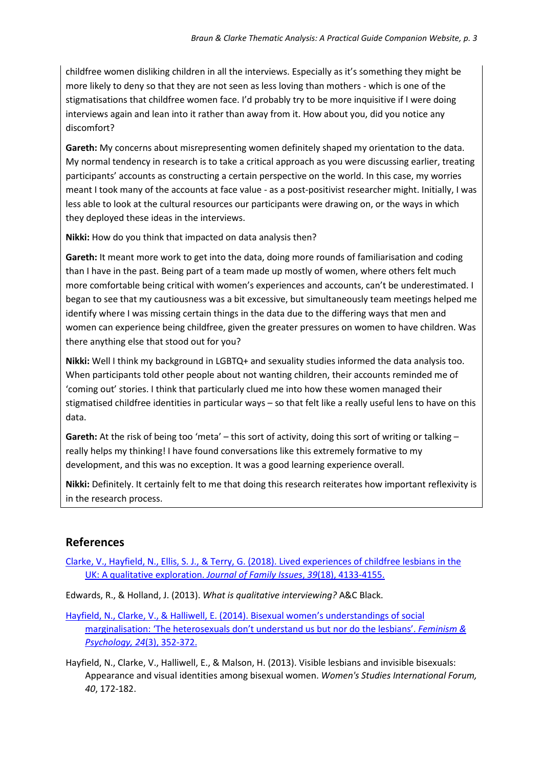childfree women disliking children in all the interviews. Especially as it's something they might be more likely to deny so that they are not seen as less loving than mothers - which is one of the stigmatisations that childfree women face. I'd probably try to be more inquisitive if I were doing interviews again and lean into it rather than away from it. How about you, did you notice any discomfort?

**Gareth:** My concerns about misrepresenting women definitely shaped my orientation to the data. My normal tendency in research is to take a critical approach as you were discussing earlier, treating participants' accounts as constructing a certain perspective on the world. In this case, my worries meant I took many of the accounts at face value - as a post-positivist researcher might. Initially, I was less able to look at the cultural resources our participants were drawing on, or the ways in which they deployed these ideas in the interviews.

**Nikki:** How do you think that impacted on data analysis then?

**Gareth:** It meant more work to get into the data, doing more rounds of familiarisation and coding than I have in the past. Being part of a team made up mostly of women, where others felt much more comfortable being critical with women's experiences and accounts, can't be underestimated. I began to see that my cautiousness was a bit excessive, but simultaneously team meetings helped me identify where I was missing certain things in the data due to the differing ways that men and women can experience being childfree, given the greater pressures on women to have children. Was there anything else that stood out for you?

**Nikki:** Well I think my background in LGBTQ+ and sexuality studies informed the data analysis too. When participants told other people about not wanting children, their accounts reminded me of 'coming out' stories. I think that particularly clued me into how these women managed their stigmatised childfree identities in particular ways – so that felt like a really useful lens to have on this data.

**Gareth:** At the risk of being too 'meta' – this sort of activity, doing this sort of writing or talking – really helps my thinking! I have found conversations like this extremely formative to my development, and this was no exception. It was a good learning experience overall.

**Nikki:** Definitely. It certainly felt to me that doing this research reiterates how important reflexivity is in the research process.

## **References**

[Clarke, V., Hayfield, N., Ellis, S. J., & Terry, G. \(2018\). Lived experiences of childfree lesbians in the](https://journals.sagepub.com/stoken/rbtfl/KABMR4GDMMP17TTEM27W3A/pdf/10.1177/0192513X18810931)  [UK: A qualitative exploration.](https://journals.sagepub.com/stoken/rbtfl/KABMR4GDMMP17TTEM27W3A/pdf/10.1177/0192513X18810931) *Journal of Family Issues*, *39*(18), 4133-4155.

Edwards, R., & Holland, J. (2013). *What is qualitative interviewing?* A&C Black.

- [Hayfield, N., Clarke, V., & Halliwell, E. \(2014\). Bisexual women's understandings of social](https://journals.sagepub.com/stoken/rbtfl/ITNRDLHJ1JFOJ4YW2AWC/pdf/10.1177/0959353514539651)  [marginalisation: 'The heterosexuals don't under](https://journals.sagepub.com/stoken/rbtfl/ITNRDLHJ1JFOJ4YW2AWC/pdf/10.1177/0959353514539651)stand us but nor do the lesbians'. *Feminism & [Psychology, 24](https://journals.sagepub.com/stoken/rbtfl/ITNRDLHJ1JFOJ4YW2AWC/pdf/10.1177/0959353514539651)*(3), 352-372.
- Hayfield, N., Clarke, V., Halliwell, E., & Malson, H. (2013). Visible lesbians and invisible bisexuals: Appearance and visual identities among bisexual women. *Women's Studies International Forum, 40*, 172-182.